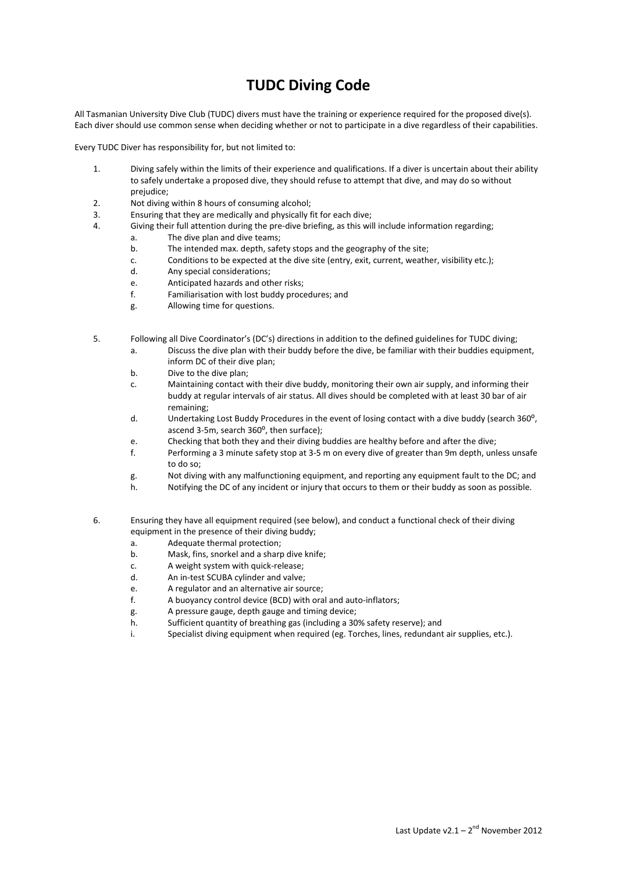## **TUDC Diving Code**

All Tasmanian University Dive Club (TUDC) divers must have the training or experience required for the proposed dive(s). Each diver should use common sense when deciding whether or not to participate in a dive regardless of their capabilities.

Every TUDC Diver has responsibility for, but not limited to:

- 1. Diving safely within the limits of their experience and qualifications. If a diver is uncertain about their ability to safely undertake a proposed dive, they should refuse to attempt that dive, and may do so without prejudice;
- 2. Not diving within 8 hours of consuming alcohol;
- 3. Ensuring that they are medically and physically fit for each dive;
- 4. Giving their full attention during the pre-dive briefing, as this will include information regarding;
	- a. The dive plan and dive teams;
	- b. The intended max. depth, safety stops and the geography of the site;
	- c. Conditions to be expected at the dive site (entry, exit, current, weather, visibility etc.);
	- d. Any special considerations;
	- e. Anticipated hazards and other risks;
	- f. Familiarisation with lost buddy procedures; and
	- g. Allowing time for questions.
- 5. Following all Dive Coordinator's (DC's) directions in addition to the defined guidelines for TUDC diving;
	- a. Discuss the dive plan with their buddy before the dive, be familiar with their buddies equipment, inform DC of their dive plan;
	- b. Dive to the dive plan;
	- c. Maintaining contact with their dive buddy, monitoring their own air supply, and informing their buddy at regular intervals of air status. All dives should be completed with at least 30 bar of air remaining;
	- d. Undertaking Lost Buddy Procedures in the event of losing contact with a dive buddy (search 360°, ascend 3-5m, search 360°, then surface);
	- e. Checking that both they and their diving buddies are healthy before and after the dive;
	- f. Performing a 3 minute safety stop at 3-5 m on every dive of greater than 9m depth, unless unsafe to do so;
	- g. Not diving with any malfunctioning equipment, and reporting any equipment fault to the DC; and
	- h. Notifying the DC of any incident or injury that occurs to them or their buddy as soon as possible.
- 6. Ensuring they have all equipment required (see below), and conduct a functional check of their diving equipment in the presence of their diving buddy;
	- a. Adequate thermal protection;
	- b. Mask, fins, snorkel and a sharp dive knife;
	- c. A weight system with quick-release;
	- d. An in-test SCUBA cylinder and valve;
	- e. A regulator and an alternative air source;
	- f. A buoyancy control device (BCD) with oral and auto-inflators;
	- g. A pressure gauge, depth gauge and timing device;
	- h. Sufficient quantity of breathing gas (including a 30% safety reserve); and
	- i. Specialist diving equipment when required (eg. Torches, lines, redundant air supplies, etc.).